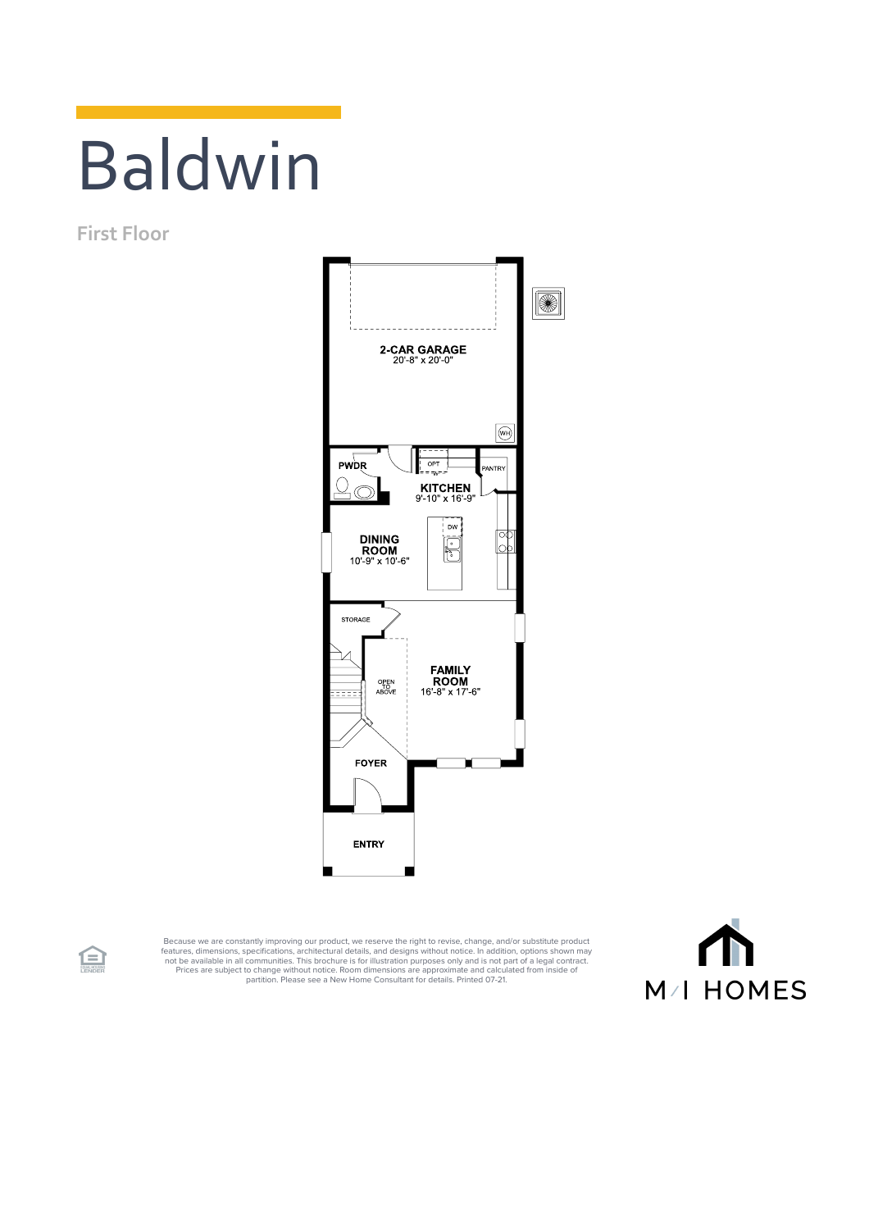## Baldwin

**First Floor**



Because we are constantly improving our product, we reserve the right to revise, change, and/or substitute product<br>features, dimensions, pecifications, architectural details, and designs without notice. In addition, option



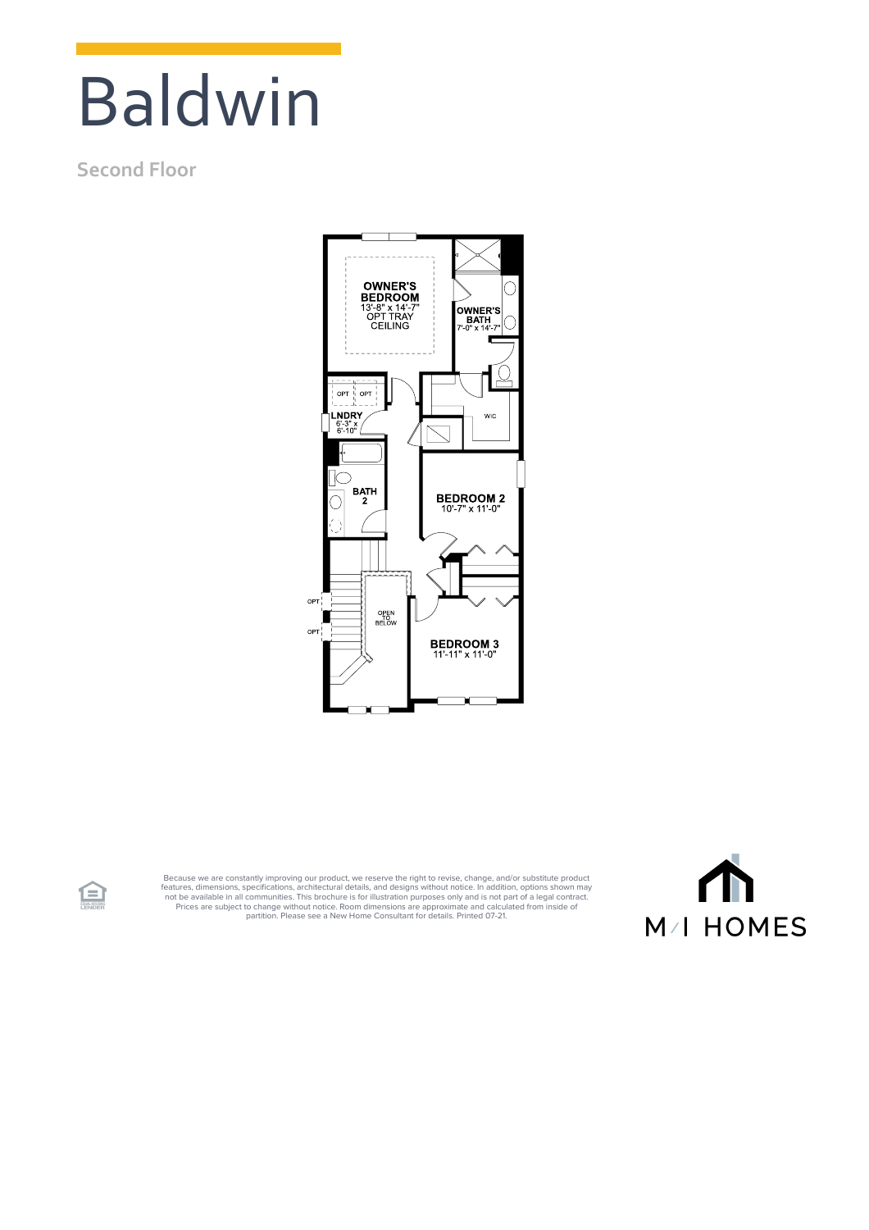## Baldwin

## **Second Floor**

食



Because we are constantly improving our product, we reserve the right to revise, change, and/or substitute product<br>features, dimensions, specifications, architectural details, and designs without notice. In addition, optio